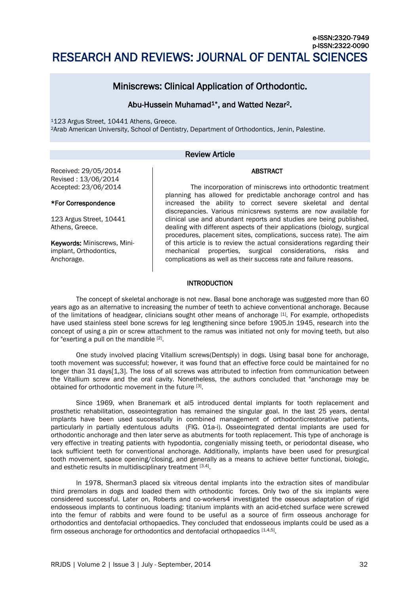# e-ISSN:2320-7949 p-ISSN:2322-0090 RESEARCH AND REVIEWS: JOURNAL OF DENTAL SCIENCES

# Miniscrews: Clinical Application of Orthodontic.

# Abu-Hussein Muhamad<sup>1\*</sup>, and Watted Nezar<sup>2</sup>.

<sup>1</sup>123 Argus Street, 10441 Athens, Greece. <sup>2</sup>Arab American University, School of Dentistry, Department of Orthodontics, Jenin, Palestine.

# Review Article

# ABSTRACT

Received: 29/05/2014 Revised : 13/06/2014 Accepted: 23/06/2014

# \*For Correspondence

123 Argus Street, 10441 Athens, Greece.

Keywords: Miniscrews, Miniimplant, Orthodontics, Anchorage.

The incorporation of miniscrews into orthodontic treatment planning has allowed for predictable anchorage control and has increased the ability to correct severe skeletal and dental discrepancies. Various minicsrews systems are now available for clinical use and abundant reports and studies are being published, dealing with different aspects of their applications (biology, surgical procedures, placement sites, complications, success rate). The aim of this article is to review the actual considerations regarding their mechanical properties, surgical considerations, risks and complications as well as their success rate and failure reasons.

# INTRODUCTION

The concept of skeletal anchorage is not new. Basal bone anchorage was suggested more than 60 years ago as an alternative to increasing the number of teeth to achieve conventional anchorage. Because of the limitations of headgear, clinicians sought other means of anchorage [1]. For example, orthopedists have used stainless steel bone screws for leg lengthening since before 1905.In 1945, research into the concept of using a pin or screw attachment to the ramus was initiated not only for moving teeth, but also for "exerting a pull on the mandible [2].

One study involved placing Vitallium screws(Dentsply) in dogs. Using basal bone for anchorage, tooth movement was successful; however, it was found that an effective force could be maintained for no longer than 31 days[1,3]. The loss of all screws was attributed to infection from communication between the Vitallium screw and the oral cavity. Nonetheless, the authors concluded that "anchorage may be obtained for orthodontic movement in the future [3].

Since 1969, when Branemark et al5 introduced dental implants for tooth replacement and prosthetic rehabilitation, osseointegration has remained the singular goal. In the last 25 years, dental implants have been used successfully in combined management of orthodonticrestorative patients, particularly in partially edentulous adults (FIG. 01a-i). Osseointegrated dental implants are used for orthodontic anchorage and then later serve as abutments for tooth replacement. This type of anchorage is very effective in treating patients with hypodontia, congenially missing teeth, or periodontal disease, who lack sufficient teeth for conventional anchorage. Additionally, implants have been used for presurgical tooth movement, space opening/closing, and generally as a means to achieve better functional, biologic, and esthetic results in multidisciplinary treatment [3.4].

In 1978, Sherman3 placed six vitreous dental implants into the extraction sites of mandibular third premolars in dogs and loaded them with orthodontic forces. Only two of the six implants were considered successful. Later on, Roberts and co-workers4 investigated the osseous adaptation of rigid endosseous implants to continuous loading: titanium implants with an acid-etched surface were screwed into the femur of rabbits and were found to be useful as a source of firm osseous anchorage for orthodontics and dentofacial orthopaedics. They concluded that endosseous implants could be used as a firm osseous anchorage for orthodontics and dentofacial orthopaedics [1,4,5].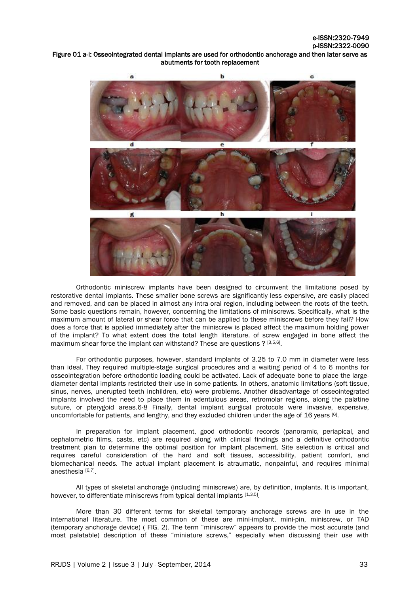# Figure 01 a-i: Osseointegrated dental implants are used for orthodontic anchorage and then later serve as abutments for tooth replacement



Orthodontic miniscrew implants have been designed to circumvent the limitations posed by restorative dental implants. These smaller bone screws are significantly less expensive, are easily placed and removed, and can be placed in almost any intra-oral region, including between the roots of the teeth. Some basic questions remain, however, concerning the limitations of miniscrews. Specifically, what is the maximum amount of lateral or shear force that can be applied to these miniscrews before they fail? How does a force that is applied immediately after the miniscrew is placed affect the maximum holding power of the implant? To what extent does the total length literature. of screw engaged in bone affect the maximum shear force the implant can withstand? These are questions ? [3,5,6].

For orthodontic purposes, however, standard implants of 3.25 to 7.0 mm in diameter were less than ideal. They required multiple-stage surgical procedures and a waiting period of 4 to 6 months for osseointegration before orthodontic loading could be activated. Lack of adequate bone to place the largediameter dental implants restricted their use in some patients. In others, anatomic limitations (soft tissue, sinus, nerves, unerupted teeth inchildren, etc) were problems. Another disadvantage of osseointegrated implants involved the need to place them in edentulous areas, retromolar regions, along the palatine suture, or pterygoid areas.6-8 Finally, dental implant surgical protocols were invasive, expensive, uncomfortable for patients, and lengthy, and they excluded children under the age of 16 years [6].

In preparation for implant placement, good orthodontic records (panoramic, periapical, and cephalometric films, casts, etc) are required along with clinical findings and a definitive orthodontic treatment plan to determine the optimal position for implant placement. Site selection is critical and requires careful consideration of the hard and soft tissues, accessibility, patient comfort, and biomechanical needs. The actual implant placement is atraumatic, nonpainful, and requires minimal anesthesia [6,7] .

All types of skeletal anchorage (including miniscrews) are, by definition, implants. It is important, however, to differentiate miniscrews from typical dental implants [1,3,5].

More than 30 different terms for skeletal temporary anchorage screws are in use in the international literature. The most common of these are mini-implant, mini-pin, miniscrew, or TAD (temporary anchorage device) ( FIG. 2). The term "miniscrew" appears to provide the most accurate (and most palatable) description of these "miniature screws," especially when discussing their use with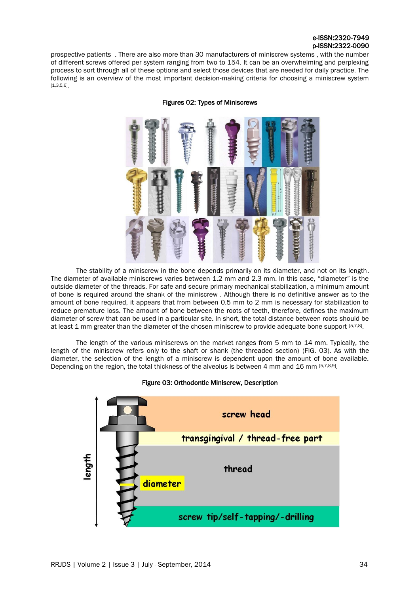# e-ISSN:2320-7949 p-ISSN:2322-0090

prospective patients . There are also more than 30 manufacturers of miniscrew systems , with the number of different screws offered per system ranging from two to 154. It can be an overwhelming and perplexing process to sort through all of these options and select those devices that are needed for daily practice. The following is an overview of the most important decision-making criteria for choosing a miniscrew system [1,3,5,6] .



Figures 02: Types of Miniscrews

The stability of a miniscrew in the bone depends primarily on its diameter, and not on its length. The diameter of available miniscrews varies between 1.2 mm and 2.3 mm. In this case, "diameter" is the outside diameter of the threads. For safe and secure primary mechanical stabilization, a minimum amount of bone is required around the shank of the miniscrew . Although there is no definitive answer as to the amount of bone required, it appears that from between 0.5 mm to 2 mm is necessary for stabilization to reduce premature loss. The amount of bone between the roots of teeth, therefore, defines the maximum diameter of screw that can be used in a particular site. In short, the total distance between roots should be at least 1 mm greater than the diameter of the chosen miniscrew to provide adequate bone support [5,7,8].

The length of the various miniscrews on the market ranges from 5 mm to 14 mm. Typically, the length of the miniscrew refers only to the shaft or shank (the threaded section) (FIG. 03). As with the diameter, the selection of the length of a miniscrew is dependent upon the amount of bone available. Depending on the region, the total thickness of the alveolus is between 4 mm and 16 mm [5,7,8,9].

# Figure 03: Orthodontic Miniscrew, Description

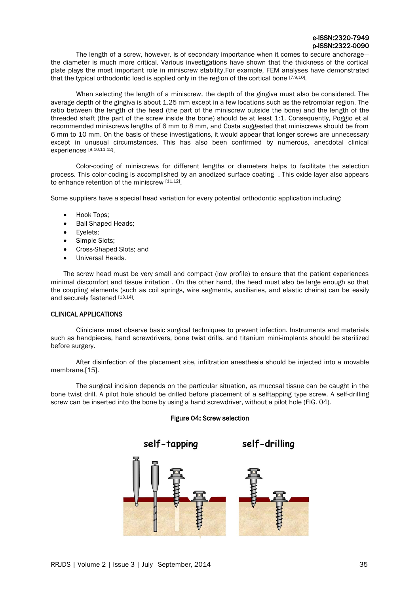The length of a screw, however, is of secondary importance when it comes to secure anchorage the diameter is much more critical. Various investigations have shown that the thickness of the cortical plate plays the most important role in miniscrew stability.For example, FEM analyses have demonstrated that the typical orthodontic load is applied only in the region of the cortical bone [7.9,10].

When selecting the length of a miniscrew, the depth of the gingiva must also be considered. The average depth of the gingiva is about 1.25 mm except in a few locations such as the retromolar region. The ratio between the length of the head (the part of the miniscrew outside the bone) and the length of the threaded shaft (the part of the screw inside the bone) should be at least 1:1. Consequently, Poggio et al recommended miniscrews lengths of 6 mm to 8 mm, and Costa suggested that miniscrews should be from 6 mm to 10 mm. On the basis of these investigations, it would appear that longer screws are unnecessary except in unusual circumstances. This has also been confirmed by numerous, anecdotal clinical experiences [8,10,11,12].

Color-coding of miniscrews for different lengths or diameters helps to facilitate the selection process. This color-coding is accomplished by an anodized surface coating . This oxide layer also appears to enhance retention of the miniscrew [11.12].

Some suppliers have a special head variation for every potential orthodontic application including:

- Hook Tops;
- Ball-Shaped Heads;
- Eyelets;
- Simple Slots;
- Cross-Shaped Slots; and
- Universal Heads.

The screw head must be very small and compact (low profile) to ensure that the patient experiences minimal discomfort and tissue irritation . On the other hand, the head must also be large enough so that the coupling elements (such as coil springs, wire segments, auxiliaries, and elastic chains) can be easily and securely fastened [13,14].

# CLINICAL APPLICATIONS

Clinicians must observe basic surgical techniques to prevent infection. Instruments and materials such as handpieces, hand screwdrivers, bone twist drills, and titanium mini-implants should be sterilized before surgery.

After disinfection of the placement site, infiltration anesthesia should be injected into a movable membrane.[15].

The surgical incision depends on the particular situation, as mucosal tissue can be caught in the bone twist drill. A pilot hole should be drilled before placement of a selftapping type screw. A self-drilling screw can be inserted into the bone by using a hand screwdriver, without a pilot hole (FIG. 04).



# Figure 04: Screw selection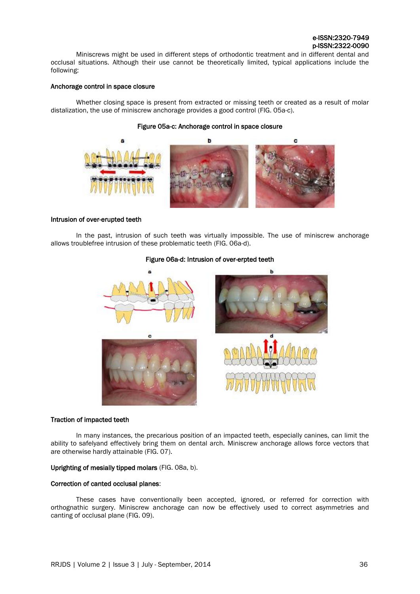Miniscrews might be used in different steps of orthodontic treatment and in different dental and occlusal situations. Although their use cannot be theoretically limited, typical applications include the following:

# Anchorage control in space closure

Whether closing space is present from extracted or missing teeth or created as a result of molar distalization, the use of miniscrew anchorage provides a good control (FIG. 05a-c).

# Figure 05a-c: Anchorage control in space closure



# Intrusion of over-erupted teeth

In the past, intrusion of such teeth was virtually impossible. The use of miniscrew anchorage allows troublefree intrusion of these problematic teeth (FIG. 06a-d).

# Figure 06a-d: Intrusion of over-erpted teeth



# Traction of impacted teeth

In many instances, the precarious position of an impacted teeth, especially canines, can limit the ability to safelyand effectively bring them on dental arch. Miniscrew anchorage allows force vectors that are otherwise hardly attainable (FIG. 07).

# Uprighting of mesially tipped molars (FIG. 08a, b).

# Correction of canted occlusal planes:

These cases have conventionally been accepted, ignored, or referred for correction with orthognathic surgery. Miniscrew anchorage can now be effectively used to correct asymmetries and canting of occlusal plane (FIG. 09).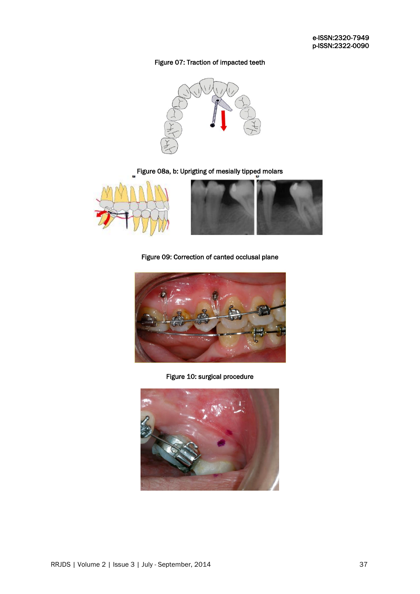# Figure 07: Traction of impacted teeth



# Figure 08a, b: Uprigting of mesially tipped molars



Figure 09: Correction of canted occlusal plane



Figure 10: surgical procedure

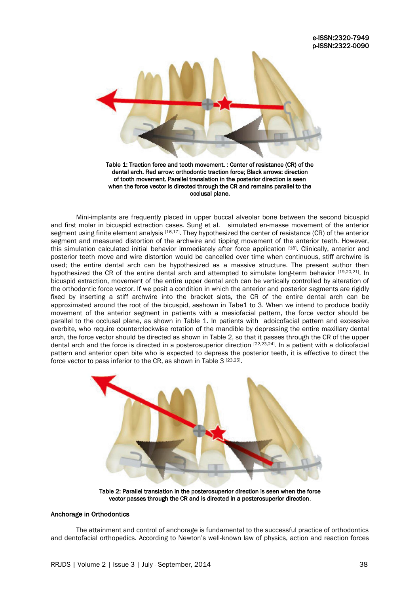

Table 1: Traction force and tooth movement. : Center of resistance (CR) of the dental arch. Red arrow: orthodontic traction force; Black arrows: direction of tooth movement. Parallel translation in the posterior direction is seen when the force vector is directed through the CR and remains parallel to the occlusal plane.

Mini-implants are frequently placed in upper buccal alveolar bone between the second bicuspid and first molar in bicuspid extraction cases. Sung et al. simulated en-masse movement of the anterior segment using finite element analysis [16,17]. They hypothesized the center of resistance (CR) of the anterior segment and measured distortion of the archwire and tipping movement of the anterior teeth. However, this simulation calculated initial behavior immediately after force application [18]. Clinically, anterior and posterior teeth move and wire distortion would be cancelled over time when continuous, stiff archwire is used; the entire dental arch can be hypothesized as a massive structure. The present author then hypothesized the CR of the entire dental arch and attempted to simulate long-term behavior [19,20,21]. In bicuspid extraction, movement of the entire upper dental arch can be vertically controlled by alteration of the orthodontic force vector. If we posit a condition in which the anterior and posterior segments are rigidly fixed by inserting a stiff archwire into the bracket slots, the CR of the entire dental arch can be approximated around the root of the bicuspid, asshown in Tabe1 to 3. When we intend to produce bodily movement of the anterior segment in patients with a mesiofacial pattern, the force vector should be parallel to the occlusal plane, as shown in Table 1. In patients with adoicofacial pattern and excessive overbite, who require counterclockwise rotation of the mandible by depressing the entire maxillary dental arch, the force vector should be directed as shown in Table 2, so that it passes through the CR of the upper dental arch and the force is directed in a posterosuperior direction [22,23,24]. In a patient with a dolicofacial pattern and anterior open bite who is expected to depress the posterior teeth, it is effective to direct the force vector to pass inferior to the CR, as shown in Table 3<sup>[23,25]</sup>.



Table 2: Parallel translation in the posterosuperior direction is seen when the force vector passes through the CR and is directed in a posterosuperior direction.

# Anchorage in Orthodontics

The attainment and control of anchorage is fundamental to the successful practice of orthodontics and dentofacial orthopedics. According to Newton's well-known law of physics, action and reaction forces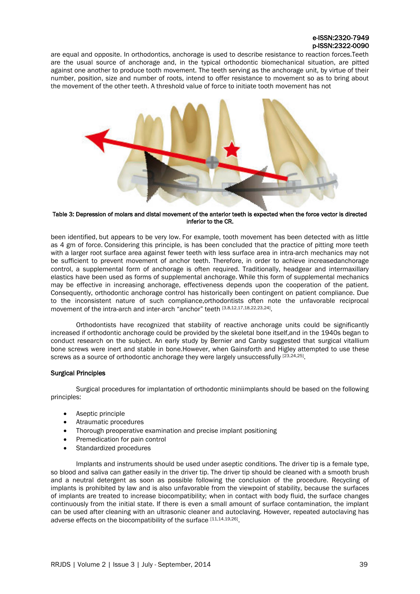# e-ISSN:2320-7949 p-ISSN:2322-0090

are equal and opposite. In orthodontics, anchorage is used to describe resistance to reaction forces.Teeth are the usual source of anchorage and, in the typical orthodontic biomechanical situation, are pitted against one another to produce tooth movement. The teeth serving as the anchorage unit, by virtue of their number, position, size and number of roots, intend to offer resistance to movement so as to bring about the movement of the other teeth. A threshold value of force to initiate tooth movement has not



Table 3: Depression of molars and distal movement of the anterior teeth is expected when the force vector is directed inferior to the CR.

been identified, but appears to be very low. For example, tooth movement has been detected with as little as 4 gm of force. Considering this principle, is has been concluded that the practice of pitting more teeth with a larger root surface area against fewer teeth with less surface area in intra-arch mechanics may not be sufficient to prevent movement of anchor teeth. Therefore, in order to achieve increasedanchorage control, a supplemental form of anchorage is often required. Traditionally, headgear and intermaxillary elastics have been used as forms of supplemental anchorage. While this form of supplemental mechanics may be effective in increasing anchorage, effectiveness depends upon the cooperation of the patient. Consequently, orthodontic anchorage control has historically been contingent on patient compliance. Due to the inconsistent nature of such compliance,orthodontists often note the unfavorable reciprocal movement of the intra-arch and inter-arch "anchor" teeth [3,8,12,17,18,22,23,24].

Orthodontists have recognized that stability of reactive anchorage units could be significantly increased if orthodontic anchorage could be provided by the skeletal bone itself,and in the 1940s began to conduct research on the subject. An early study by Bernier and Canby suggested that surgical vitallium bone screws were inert and stable in bone.However, when Gainsforth and Higley attempted to use these screws as a source of orthodontic anchorage they were largely unsuccessfully [23,24,25].

# Surgical Principles

Surgical procedures for implantation of orthodontic miniimplants should be based on the following principles:

- Aseptic principle
- Atraumatic procedures
- Thorough preoperative examination and precise implant positioning
- Premedication for pain control
- Standardized procedures

Implants and instruments should be used under aseptic conditions. The driver tip is a female type, so blood and saliva can gather easily in the driver tip. The driver tip should be cleaned with a smooth brush and a neutral detergent as soon as possible following the conclusion of the procedure. Recycling of implants is prohibited by law and is also unfavorable from the viewpoint of stability, because the surfaces of implants are treated to increase biocompatibility; when in contact with body fluid, the surface changes continuously from the initial state. If there is even a small amount of surface contamination, the implant can be used after cleaning with an ultrasonic cleaner and autoclaving. However, repeated autoclaving has adverse effects on the biocompatibility of the surface [11,14,19,26].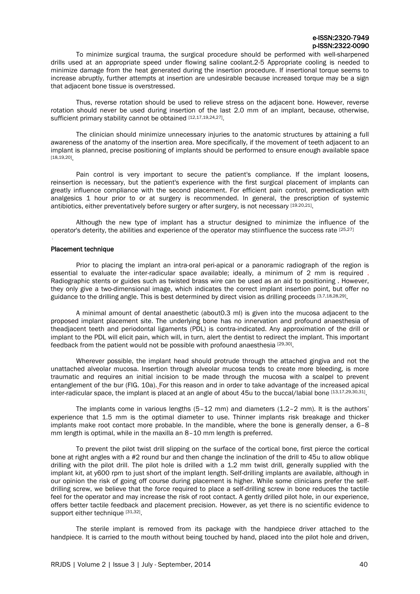To minimize surgical trauma, the surgical procedure should be performed with well-sharpened drills used at an appropriate speed under flowing saline coolant.2-5 Appropriate cooling is needed to minimize damage from the heat generated during the insertion procedure. If insertional torque seems to increase abruptly, further attempts at insertion are undesirable because increased torque may be a sign that adjacent bone tissue is overstressed.

Thus, reverse rotation should be used to relieve stress on the adjacent bone. However, reverse rotation should never be used during insertion of the last 2.0 mm of an implant, because, otherwise, sufficient primary stability cannot be obtained [12,17,19,24,27].

The clinician should minimize unnecessary injuries to the anatomic structures by attaining a full awareness of the anatomy of the insertion area. More specifically, if the movement of teeth adjacent to an implant is planned, precise positioning of implants should be performed to ensure enough available space [18,19,20] .

Pain control is very important to secure the patient's compliance. If the implant loosens, reinsertion is necessary, but the patient's experience with the first surgical placement of implants can greatly influence compliance with the second placement. For efficient pain control, premedication with analgesics 1 hour prior to or at surgery is recommended. In general, the prescription of systemic antibiotics, either preventatively before surgery or after surgery, is not necessary [19.20,21].

Although the new type of implant has a structur designed to minimize the influence of the operator's deterity, the abilities and experience of the operator may stiinfluence the success rate [25,27]

#### Placement technique

.

Prior to placing the implant an intra-oral peri-apical or a panoramic radiograph of the region is essential to evaluate the inter-radicular space available; ideally, a minimum of 2 mm is required . Radiographic stents or guides such as twisted brass wire can be used as an aid to positioning . However, they only give a two-dimensional image, which indicates the correct implant insertion point, but offer no guidance to the drilling angle. This is best determined by direct vision as drilling proceeds [3,7,18,28,29].

A minimal amount of dental anaesthetic (about0.3 ml) is given into the mucosa adjacent to the proposed implant placement site. The underlying bone has no innervation and profound anaesthesia of theadjacent teeth and periodontal ligaments (PDL) is contra-indicated. Any approximation of the drill or implant to the PDL will elicit pain, which will, in turn, alert the dentist to redirect the implant. This important feedback from the patient would not be possible with profound anaesthesia [29,30].

Wherever possible, the implant head should protrude through the attached gingiva and not the unattached alveolar mucosa. Insertion through alveolar mucosa tends to create more bleeding, is more traumatic and requires an initial incision to be made through the mucosa with a scalpel to prevent entanglement of the bur (FIG. 10a). For this reason and in order to take advantage of the increased apical inter-radicular space, the implant is placed at an angle of about 45u to the buccal/labial bone [13,17,29,30,31]

The implants come in various lengths (5–12 mm) and diameters (1.2–2 mm). It is the authors' experience that 1.5 mm is the optimal diameter to use. Thinner implants risk breakage and thicker implants make root contact more probable. In the mandible, where the bone is generally denser, a 6–8 mm length is optimal, while in the maxilla an 8–10 mm length is preferred.

To prevent the pilot twist drill slipping on the surface of the cortical bone, first pierce the cortical bone at right angles with a *#*2 round bur and then change the inclination of the drill to 45u to allow oblique drilling with the pilot drill. The pilot hole is drilled with a 1.2 mm twist drill, generally supplied with the implant kit, at y600 rpm to just short of the implant length. Self-drilling implants are available, although in our opinion the risk of going off course during placement is higher. While some clinicians prefer the selfdrilling screw, we believe that the force required to place a self-drilling screw in bone reduces the tactile feel for the operator and may increase the risk of root contact. A gently drilled pilot hole, in our experience, offers better tactile feedback and placement precision. However, as yet there is no scientific evidence to support either technique [31,32].

The sterile implant is removed from its package with the handpiece driver attached to the handpiece. It is carried to the mouth without being touched by hand, placed into the pilot hole and driven,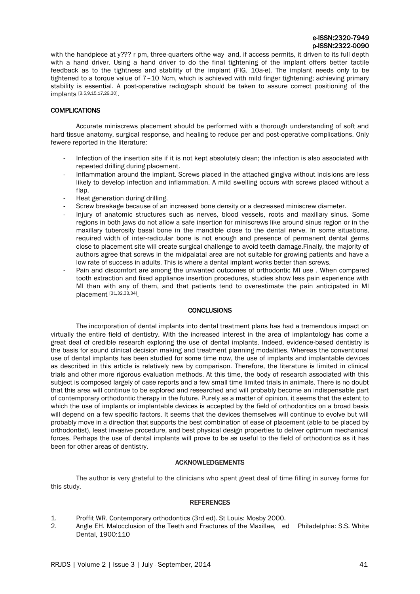with the handpiece at y??? r pm, three-quarters ofthe way and, if access permits, it driven to its full depth with a hand driver. Using a hand driver to do the final tightening of the implant offers better tactile feedback as to the tightness and stability of the implant (FIG. 10a-e). The implant needs only to be tightened to a torque value of 7-10 Ncm, which is achieved with mild finger tightening; achieving primary stability is essential. A post-operative radiograph should be taken to assure correct positioning of the implants [3.5,9,15,17,29,30] .

# **COMPLICATIONS**

Accurate miniscrews placement should be performed with a thorough understanding of soft and hard tissue anatomy, surgical response, and healing to reduce per and post-operative complications. Only fewere reported in the literature:

- Infection of the insertion site if it is not kept absolutely clean; the infection is also associated with repeated drilling during placement.
- Inflammation around the implant. Screws placed in the attached gingiva without incisions are less likely to develop infection and inflammation. A mild swelling occurs with screws placed without a flap.
- Heat generation during drilling.
- Screw breakage because of an increased bone density or a decreased miniscrew diameter.
- Injury of anatomic structures such as nerves, blood vessels, roots and maxillary sinus. Some regions in both jaws do not allow a safe insertion for miniscrews like around sinus region or in the maxillary tuberosity basal bone in the mandible close to the dental nerve. In some situations, required width of inter-radicular bone is not enough and presence of permanent dental germs close to placement site will create surgical challenge to avoid teeth damage.Finally, the majority of authors agree that screws in the midpalatal area are not suitable for growing patients and have a low rate of success in adults. This is where a dental implant works better than screws.
- Pain and discomfort are among the unwanted outcomes of orthodontic MI use. When compared tooth extraction and fixed appliance insertion procedures, studies show less pain experience with MI than with any of them, and that patients tend to overestimate the pain anticipated in MI placement [31,32,33,34].

# **CONCLUSIONS**

The incorporation of dental implants into dental treatment plans has had a tremendous impact on virtually the entire field of dentistry. With the increased interest in the area of implantology has come a great deal of credible research exploring the use of dental implants. Indeed, evidence-based dentistry is the basis for sound clinical decision making and treatment planning modalities. Whereas the conventional use of dental implants has been studied for some time now, the use of implants and implantable devices as described in this article is relatively new by comparison. Therefore, the literature is limited in clinical trials and other more rigorous evaluation methods. At this time, the body of research associated with this subject is composed largely of case reports and a few small time limited trials in animals. There is no doubt that this area will continue to be explored and researched and will probably become an indispensable part of contemporary orthodontic therapy in the future. Purely as a matter of opinion, it seems that the extent to which the use of implants or implantable devices is accepted by the field of orthodontics on a broad basis will depend on a few specific factors. It seems that the devices themselves will continue to evolve but will probably move in a direction that supports the best combination of ease of placement (able to be placed by orthodontist), least invasive procedure, and best physical design properties to deliver optimum mechanical forces. Perhaps the use of dental implants will prove to be as useful to the field of orthodontics as it has been for other areas of dentistry.

# ACKNOWLEDGEMENTS

The author is very grateful to the clinicians who spent great deal of time filling in survey forms for this study.

# REFERENCES

- 1. Proffit WR. Contemporary orthodontics (3rd ed). St Louis: Mosby 2000.
- 2. Angle EH. Malocclusion of the Teeth and Fractures of the Maxillae, ed Philadelphia: S.S. White Dental, 1900:110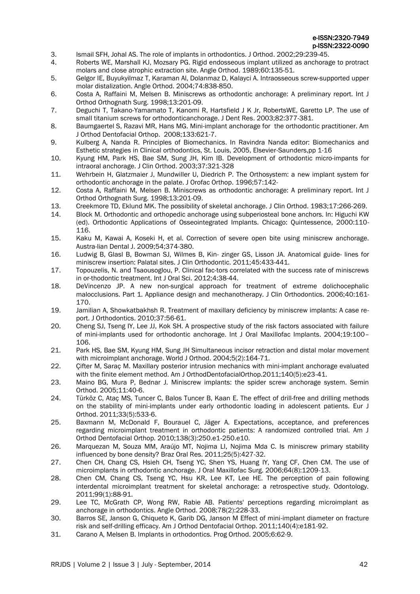- 3. Ismail SFH, Johal AS. The role of implants in orthodontics. J Orthod. 2002;29:239-45.
- 4. Roberts WE, Marshall KJ, Mozsary PG. Rigid endosseous implant utilized as anchorage to protract molars and close atrophic extraction site. Angle Orthod. 1989;60:135-51.
- 5. Gelgor IE, Buyukyilmaz T, Karaman Al, Dolanmaz D, Kalayci A. Intraosseous screw-supported upper molar distalization. Angle Orthod. 2004;74:838-850.
- 6. Costa A, Raffaini M, Melsen B. Miniscrews as orthodontic anchorage: A preliminary report. Int J Orthod Orthognath Surg. 1998;13:201-09.
- 7. Deguchi T, Takano-Yamamato T, Kanomi R, Hartsfield J К Jr, RobertsWE, Garetto LP. The use of small titanium screws for orthodonticanchorage. J Dent Res. 2003;82:377-381.
- 8. Baumgaertel S, Razavi MR, Hans MG. Mini-implant anchorage for the orthodontic practitioner. Am J Orthod Dentofacial Orthop. 2008;133:621-7.
- 9. Kulberg A, Nanda R. Principles of Biomechanics. In Ravindra Nanda editor: Biomechanics and Esthetic strategies in Clinical orthodontics, St. Louis, 2005, Elsevier-Saunders,pp 1-16
- 10. Kyung HM, Park HS, Bae SM, Sung JH, Kim IB. Development of orthodontic micro-impants for intraoral anchorage. J Clin Orthod. 2003;37:321-328
- 11. Wehrbein H, Glatzmaier J, Mundwiller U, Diedrich P. The Orthosystem: a new implant system for orthodontic anchorage in the palate. J Orofac Orthop. 1996;57:142-
- 12. Costa A, Raffaini M, Melsen B. Miniscrews as orthodontic anchorage: A preliminary report. Int J Orthod Orthognath Surg. 1998;13:201-09.
- 13. Creekmore TD, Eklund MK. The possibility of skeletal anchorage. J Clin Orthod. 1983;17:266-269.
- 14. Block M. Orthodontic and orthopedic anchorage using subperiosteal bone anchors. In: Higuchi KW (ed). Orthodontic Applications of Osseointegrated Implants. Chicago: Quintessence, 2000:110- 116.
- 15. Kaku M, Kawai A, Koseki H, et al. Correction of severe open bite using miniscrew anchorage. Austra-lian Dental J. 2009;54;374-380.
- 16. Ludwig B, Glasl B, Bowman SJ, Wilmes B, Kin- zinger GS, Lisson JA. Anatomical guide- lines for miniscrew insertion: Palatal sites. J Clin Orthodontic. 2011;45:433-441.
- 17. Topouzelis, N. and Tsaousoglou, P. Clinical fac-tors correlated with the success rate of miniscrews in or-thodontic treatment. Int J Oral Sci. 2012;4:38-44.
- 18. DeVincenzo JP. A new non-surgical approach for treatment of extreme dolichocephalic malocclusions. Part 1. Appliance design and mechanotherapy. J Clin Orthodontics. 2006;40:161- 170.
- 19. Jamilian A, Showkatbakhsh R. Treatment of maxillary deficiency by miniscrew implants: A case report. J Orthodontics. 2010;37:56-61.
- 20. Cheng SJ, Tseng IY, Lee JJ, Kok SH. A prospective study of the risk factors associated with failure of mini-implants used for orthodontic anchorage. Int J Oral Maxillofac Implants. 2004;19:100– 106.
- 21. Park HS, Bae SM, Kyung HM, Sung JH Simultaneous incisor retraction and distal molar movement with microimplant anchorage. World J Orthod. 2004;5(2):164-71.
- 22. Cifter M, Sarac M. Maxillary posterior intrusion mechanics with mini-implant anchorage evaluated with the finite element method. Am J OrthodDentofacialOrthop.2011;140(5):e23-41.
- 23. Maino BG, Mura P, Bednar J. Miniscrew implants: the spider screw anchorage system. Semin Orthod. 2005;11:40-6.
- 24. Türköz C, Ataç MS, Tuncer C, Balos Tuncer B, Kaan E. The effect of drill-free and drilling methods on the stability of mini-implants under early orthodontic loading in adolescent patients. Eur J Orthod. 2011;33(5):533-6.
- 25. Baxmann M, McDonald F, Bourauel C, Jäger A. Expectations, acceptance, and preferences regarding microimplant treatment in orthodontic patients: A randomized controlled trial. Am J Orthod Dentofacial Orthop. 2010;138(3):250.e1-250.e10.
- 26. Marquezan M, Souza MM, Araújo MT, Nojima LI, Nojima Mda C. Is miniscrew primary stability influenced by bone density? Braz Oral Res. 2011;25(5):427-32.
- 27. Chen CH, Chang CS, Hsieh CH, Tseng YC, Shen YS, Huang IY, Yang CF, Chen CM. The use of microimplants in orthodontic anchorage. J Oral Maxillofac Surg. 2006;64(8):1209-13.
- 28. Chen CM, Chang CS, Tseng YC, Hsu KR, Lee KT, Lee HE. The perception of pain following interdental microimplant treatment for skeletal anchorage: a retrospective study. Odontology. 2011;99(1):88-91.
- 29. Lee TC, McGrath CP, Wong RW, Rabie AB. Patients' perceptions regarding microimplant as anchorage in orthodontics. Angle Orthod. 2008;78(2):228-33.
- 30. Barros SE, Janson G, Chiqueto K, Garib DG, Janson M Effect of mini-implant diameter on fracture risk and self-drilling efficacy. Am J Orthod Dentofacial Orthop. 2011;140(4):e181-92.
- 31. Carano A, Melsen B. Implants in orthodontics. Prog Orthod. 2005;6:62-9.